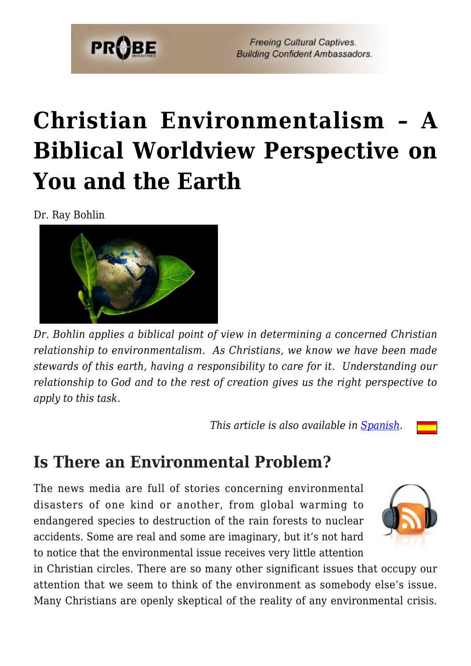

**Freeing Cultural Captives. Building Confident Ambassadors.** 

# **[Christian Environmentalism – A](https://probe.org/christian-environmentalism/) [Biblical Worldview Perspective on](https://probe.org/christian-environmentalism/) [You and the Earth](https://probe.org/christian-environmentalism/)**

Dr. Ray Bohlin



*Dr. Bohlin applies a biblical point of view in determining a concerned Christian relationship to environmentalism. As Christians, we know we have been made stewards of this earth, having a responsibility to care for it. Understanding our relationship to God and to the rest of creation gives us the right perspective to apply to this task.*

 *This article is also available in [Spanish](http://www.ministeriosprobe.org/docs/ambientalismo.html).*

#### **Is There an Environmental Problem?**

The news media are full of stories concerning environmental disasters of one kind or another, from global warming to endangered species to destruction of the rain forests to nuclear accidents. Some are real and some are imaginary, but it's not hard to notice that the environmental issue receives very little attention



in Christian circles. There are so many other significant issues that occupy our attention that we seem to think of the environment as somebody else's issue. Many Christians are openly skeptical of the reality of any environmental crisis.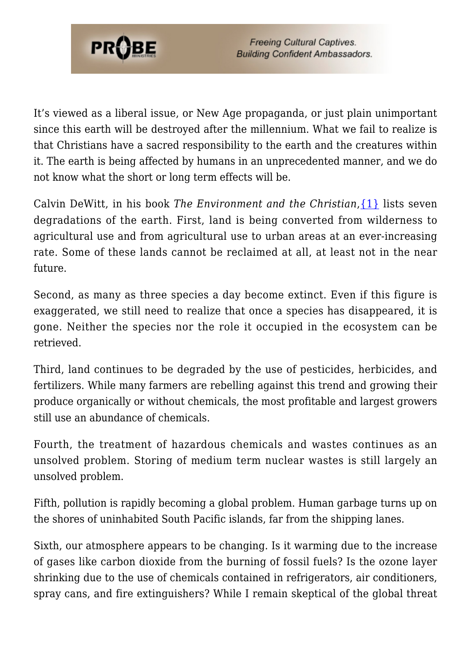

**Freeing Cultural Captives. Building Confident Ambassadors.** 

It's viewed as a liberal issue, or New Age propaganda, or just plain unimportant since this earth will be destroyed after the millennium. What we fail to realize is that Christians have a sacred responsibility to the earth and the creatures within it. The earth is being affected by humans in an unprecedented manner, and we do not know what the short or long term effects will be.

Calvin DeWitt, in his book *The Environment and the Christian*[,{1}](#page-8-0) lists seven degradations of the earth. First, land is being converted from wilderness to agricultural use and from agricultural use to urban areas at an ever-increasing rate. Some of these lands cannot be reclaimed at all, at least not in the near future.

Second, as many as three species a day become extinct. Even if this figure is exaggerated, we still need to realize that once a species has disappeared, it is gone. Neither the species nor the role it occupied in the ecosystem can be retrieved.

Third, land continues to be degraded by the use of pesticides, herbicides, and fertilizers. While many farmers are rebelling against this trend and growing their produce organically or without chemicals, the most profitable and largest growers still use an abundance of chemicals.

Fourth, the treatment of hazardous chemicals and wastes continues as an unsolved problem. Storing of medium term nuclear wastes is still largely an unsolved problem.

Fifth, pollution is rapidly becoming a global problem. Human garbage turns up on the shores of uninhabited South Pacific islands, far from the shipping lanes.

Sixth, our atmosphere appears to be changing. Is it warming due to the increase of gases like carbon dioxide from the burning of fossil fuels? Is the ozone layer shrinking due to the use of chemicals contained in refrigerators, air conditioners, spray cans, and fire extinguishers? While I remain skeptical of the global threat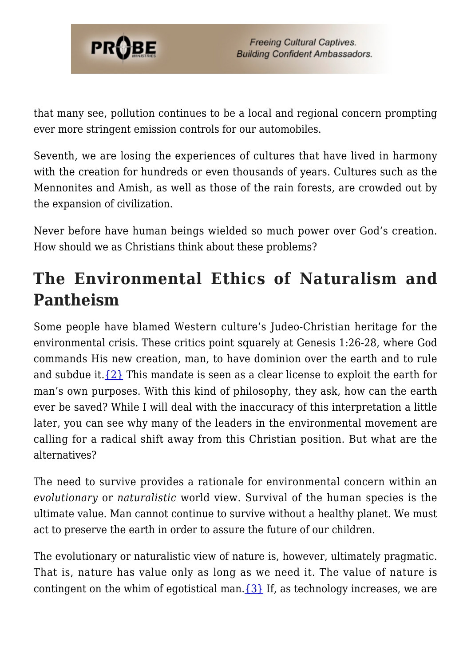

that many see, pollution continues to be a local and regional concern prompting ever more stringent emission controls for our automobiles.

Seventh, we are losing the experiences of cultures that have lived in harmony with the creation for hundreds or even thousands of years. Cultures such as the Mennonites and Amish, as well as those of the rain forests, are crowded out by the expansion of civilization.

Never before have human beings wielded so much power over God's creation. How should we as Christians think about these problems?

## **The Environmental Ethics of Naturalism and Pantheism**

Some people have blamed Western culture's Judeo-Christian heritage for the environmental crisis. These critics point squarely at Genesis 1:26-28, where God commands His new creation, man, to have dominion over the earth and to rule and subdue it.  $\{2\}$  This mandate is seen as a clear license to exploit the earth for man's own purposes. With this kind of philosophy, they ask, how can the earth ever be saved? While I will deal with the inaccuracy of this interpretation a little later, you can see why many of the leaders in the environmental movement are calling for a radical shift away from this Christian position. But what are the alternatives?

The need to survive provides a rationale for environmental concern within an *evolutionary* or *naturalistic* world view. Survival of the human species is the ultimate value. Man cannot continue to survive without a healthy planet. We must act to preserve the earth in order to assure the future of our children.

The evolutionary or naturalistic view of nature is, however, ultimately pragmatic. That is, nature has value only as long as we need it. The value of nature is contingent on the whim of egotistical man.  $\{3\}$  If, as technology increases, we are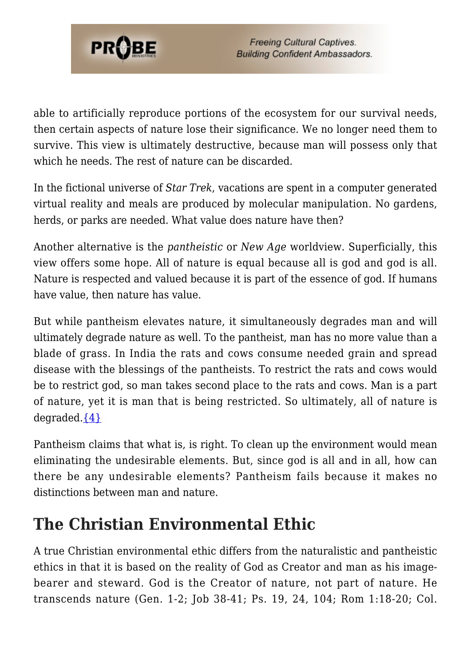

able to artificially reproduce portions of the ecosystem for our survival needs, then certain aspects of nature lose their significance. We no longer need them to survive. This view is ultimately destructive, because man will possess only that which he needs. The rest of nature can be discarded.

In the fictional universe of *Star Trek*, vacations are spent in a computer generated virtual reality and meals are produced by molecular manipulation. No gardens, herds, or parks are needed. What value does nature have then?

Another alternative is the *pantheistic* or *New Age* worldview. Superficially, this view offers some hope. All of nature is equal because all is god and god is all. Nature is respected and valued because it is part of the essence of god. If humans have value, then nature has value.

But while pantheism elevates nature, it simultaneously degrades man and will ultimately degrade nature as well. To the pantheist, man has no more value than a blade of grass. In India the rats and cows consume needed grain and spread disease with the blessings of the pantheists. To restrict the rats and cows would be to restrict god, so man takes second place to the rats and cows. Man is a part of nature, yet it is man that is being restricted. So ultimately, all of nature is degraded. ${4}$ 

Pantheism claims that what is, is right. To clean up the environment would mean eliminating the undesirable elements. But, since god is all and in all, how can there be any undesirable elements? Pantheism fails because it makes no distinctions between man and nature.

## **The Christian Environmental Ethic**

A true Christian environmental ethic differs from the naturalistic and pantheistic ethics in that it is based on the reality of God as Creator and man as his imagebearer and steward. God is the Creator of nature, not part of nature. He transcends nature (Gen. 1-2; Job 38-41; Ps. 19, 24, 104; Rom 1:18-20; Col.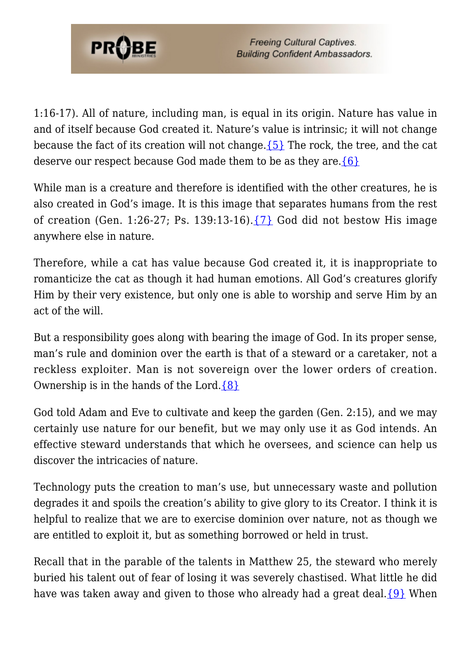

1:16-17). All of nature, including man, is equal in its origin. Nature has value in and of itself because God created it. Nature's value is intrinsic; it will not change because the fact of its creation will not change.  $\{5\}$  The rock, the tree, and the cat deserve our respect because God made them to be as they are.[{6}](#page-8-5)

While man is a creature and therefore is identified with the other creatures, he is also created in God's image. It is this image that separates humans from the rest of creation (Gen. 1:26-27; Ps. 139:13-16). $\{7\}$  God did not bestow His image anywhere else in nature.

Therefore, while a cat has value because God created it, it is inappropriate to romanticize the cat as though it had human emotions. All God's creatures glorify Him by their very existence, but only one is able to worship and serve Him by an act of the will.

But a responsibility goes along with bearing the image of God. In its proper sense, man's rule and dominion over the earth is that of a steward or a caretaker, not a reckless exploiter. Man is not sovereign over the lower orders of creation. Ownership is in the hands of the Lord. $\{8\}$ 

God told Adam and Eve to cultivate and keep the garden (Gen. 2:15), and we may certainly use nature for our benefit, but we may only use it as God intends. An effective steward understands that which he oversees, and science can help us discover the intricacies of nature.

Technology puts the creation to man's use, but unnecessary waste and pollution degrades it and spoils the creation's ability to give glory to its Creator. I think it is helpful to realize that we are to exercise dominion over nature, not as though we are entitled to exploit it, but as something borrowed or held in trust.

Recall that in the parable of the talents in Matthew 25, the steward who merely buried his talent out of fear of losing it was severely chastised. What little he did have was taken away and given to those who already had a great deal. ${9}$  When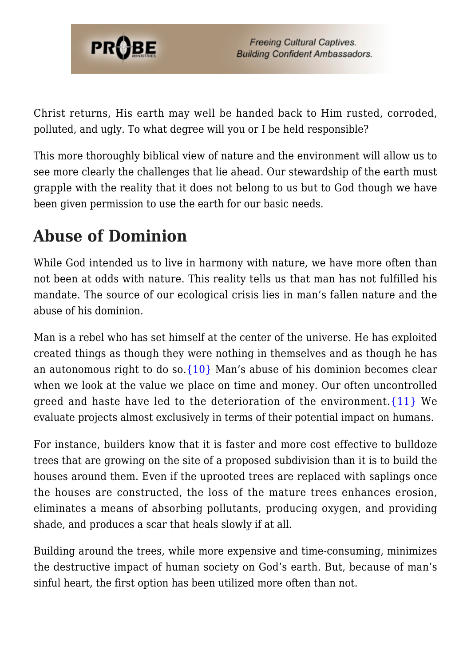

Christ returns, His earth may well be handed back to Him rusted, corroded, polluted, and ugly. To what degree will you or I be held responsible?

This more thoroughly biblical view of nature and the environment will allow us to see more clearly the challenges that lie ahead. Our stewardship of the earth must grapple with the reality that it does not belong to us but to God though we have been given permission to use the earth for our basic needs.

## **Abuse of Dominion**

While God intended us to live in harmony with nature, we have more often than not been at odds with nature. This reality tells us that man has not fulfilled his mandate. The source of our ecological crisis lies in man's fallen nature and the abuse of his dominion.

Man is a rebel who has set himself at the center of the universe. He has exploited created things as though they were nothing in themselves and as though he has an autonomous right to do so.  $\{10\}$  Man's abuse of his dominion becomes clear when we look at the value we place on time and money. Our often uncontrolled greed and haste have led to the deterioration of the environment.  $\{11\}$  We evaluate projects almost exclusively in terms of their potential impact on humans.

For instance, builders know that it is faster and more cost effective to bulldoze trees that are growing on the site of a proposed subdivision than it is to build the houses around them. Even if the uprooted trees are replaced with saplings once the houses are constructed, the loss of the mature trees enhances erosion, eliminates a means of absorbing pollutants, producing oxygen, and providing shade, and produces a scar that heals slowly if at all.

Building around the trees, while more expensive and time-consuming, minimizes the destructive impact of human society on God's earth. But, because of man's sinful heart, the first option has been utilized more often than not.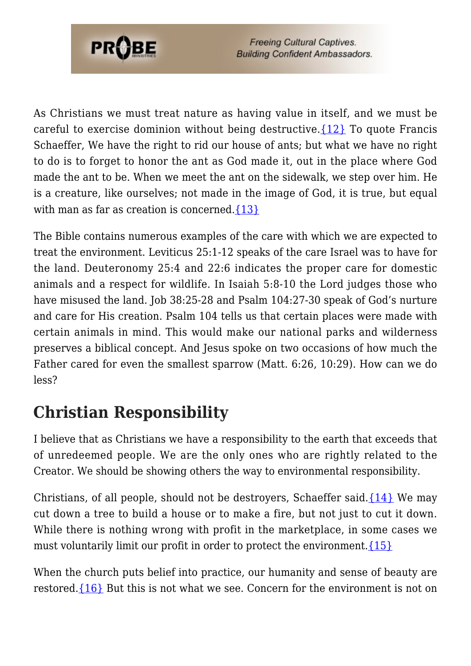

**Freeing Cultural Captives. Building Confident Ambassadors.** 

As Christians we must treat nature as having value in itself, and we must be careful to exercise dominion without being destructive.  $\{12\}$  To quote Francis Schaeffer, We have the right to rid our house of ants; but what we have no right to do is to forget to honor the ant as God made it, out in the place where God made the ant to be. When we meet the ant on the sidewalk, we step over him. He is a creature, like ourselves; not made in the image of God, it is true, but equal with man as far as creation is concerned. $\{13\}$ 

The Bible contains numerous examples of the care with which we are expected to treat the environment. Leviticus 25:1-12 speaks of the care Israel was to have for the land. Deuteronomy 25:4 and 22:6 indicates the proper care for domestic animals and a respect for wildlife. In Isaiah 5:8-10 the Lord judges those who have misused the land. Job 38:25-28 and Psalm 104:27-30 speak of God's nurture and care for His creation. Psalm 104 tells us that certain places were made with certain animals in mind. This would make our national parks and wilderness preserves a biblical concept. And Jesus spoke on two occasions of how much the Father cared for even the smallest sparrow (Matt. 6:26, 10:29). How can we do less?

## **Christian Responsibility**

I believe that as Christians we have a responsibility to the earth that exceeds that of unredeemed people. We are the only ones who are rightly related to the Creator. We should be showing others the way to environmental responsibility.

Christians, of all people, should not be destroyers, Schaeffer said. $\{14\}$  We may cut down a tree to build a house or to make a fire, but not just to cut it down. While there is nothing wrong with profit in the marketplace, in some cases we must voluntarily limit our profit in order to protect the environment.  $\{15\}$ 

When the church puts belief into practice, our humanity and sense of beauty are restored. $\{16\}$  But this is not what we see. Concern for the environment is not on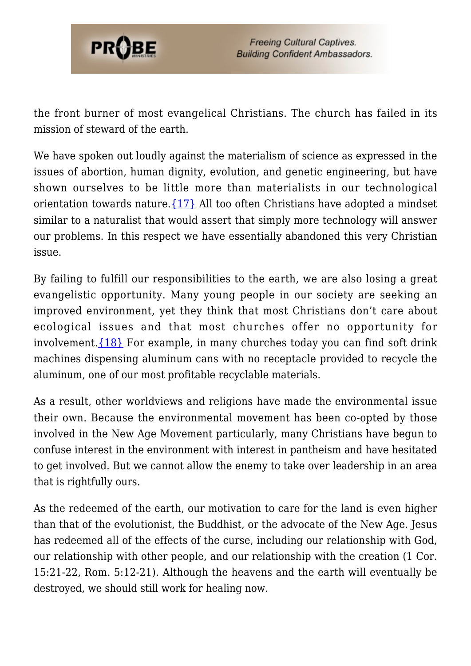

the front burner of most evangelical Christians. The church has failed in its mission of steward of the earth.

We have spoken out loudly against the materialism of science as expressed in the issues of abortion, human dignity, evolution, and genetic engineering, but have shown ourselves to be little more than materialists in our technological orientation towards nature[.{17}](#page-8-16) All too often Christians have adopted a mindset similar to a naturalist that would assert that simply more technology will answer our problems. In this respect we have essentially abandoned this very Christian issue.

By failing to fulfill our responsibilities to the earth, we are also losing a great evangelistic opportunity. Many young people in our society are seeking an improved environment, yet they think that most Christians don't care about ecological issues and that most churches offer no opportunity for involvement.[{18}](#page-8-17) For example, in many churches today you can find soft drink machines dispensing aluminum cans with no receptacle provided to recycle the aluminum, one of our most profitable recyclable materials.

As a result, other worldviews and religions have made the environmental issue their own. Because the environmental movement has been co-opted by those involved in the New Age Movement particularly, many Christians have begun to confuse interest in the environment with interest in pantheism and have hesitated to get involved. But we cannot allow the enemy to take over leadership in an area that is rightfully ours.

As the redeemed of the earth, our motivation to care for the land is even higher than that of the evolutionist, the Buddhist, or the advocate of the New Age. Jesus has redeemed all of the effects of the curse, including our relationship with God, our relationship with other people, and our relationship with the creation (1 Cor. 15:21-22, Rom. 5:12-21). Although the heavens and the earth will eventually be destroyed, we should still work for healing now.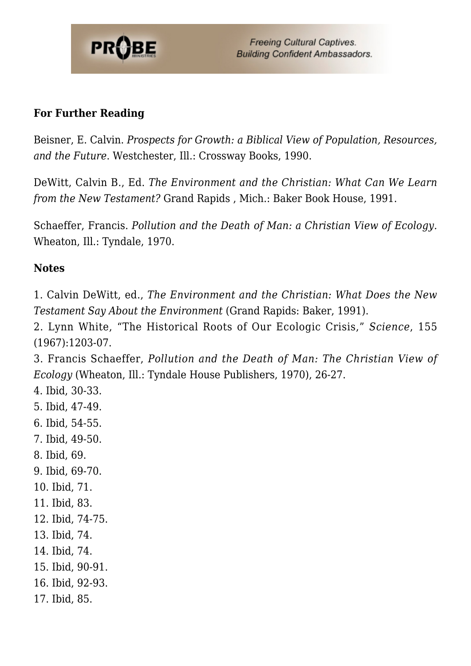

#### **For Further Reading**

Beisner, E. Calvin. *Prospects for Growth: a Biblical View of Population, Resources, and the Future*. Westchester, Ill.: Crossway Books, 1990.

DeWitt, Calvin B., Ed. *The Environment and the Christian: What Can We Learn from the New Testament?* Grand Rapids , Mich.: Baker Book House, 1991.

Schaeffer, Francis. *Pollution and the Death of Man: a Christian View of Ecology.* Wheaton, Ill.: Tyndale, 1970.

#### **Notes**

<span id="page-8-0"></span>1. Calvin DeWitt, ed., *The Environment and the Christian: What Does the New Testament Say About the Environment* (Grand Rapids: Baker, 1991).

<span id="page-8-1"></span>2. Lynn White, "The Historical Roots of Our Ecologic Crisis," *Science*, 155 (1967):1203-07.

<span id="page-8-2"></span>3. Francis Schaeffer, *Pollution and the Death of Man: The Christian View of Ecology* (Wheaton, Ill.: Tyndale House Publishers, 1970), 26-27.

- <span id="page-8-3"></span>4. Ibid, 30-33.
- <span id="page-8-4"></span>5. Ibid, 47-49.
- <span id="page-8-5"></span>6. Ibid, 54-55.
- <span id="page-8-6"></span>7. Ibid, 49-50.
- <span id="page-8-7"></span>8. Ibid, 69.
- <span id="page-8-8"></span>9. Ibid, 69-70.
- <span id="page-8-9"></span>10. Ibid, 71.
- <span id="page-8-10"></span>11. Ibid, 83.
- <span id="page-8-11"></span>12. Ibid, 74-75.
- <span id="page-8-12"></span>13. Ibid, 74.
- <span id="page-8-13"></span>14. Ibid, 74.
- <span id="page-8-14"></span>15. Ibid, 90-91.
- <span id="page-8-15"></span>16. Ibid, 92-93.
- <span id="page-8-17"></span><span id="page-8-16"></span>17. Ibid, 85.